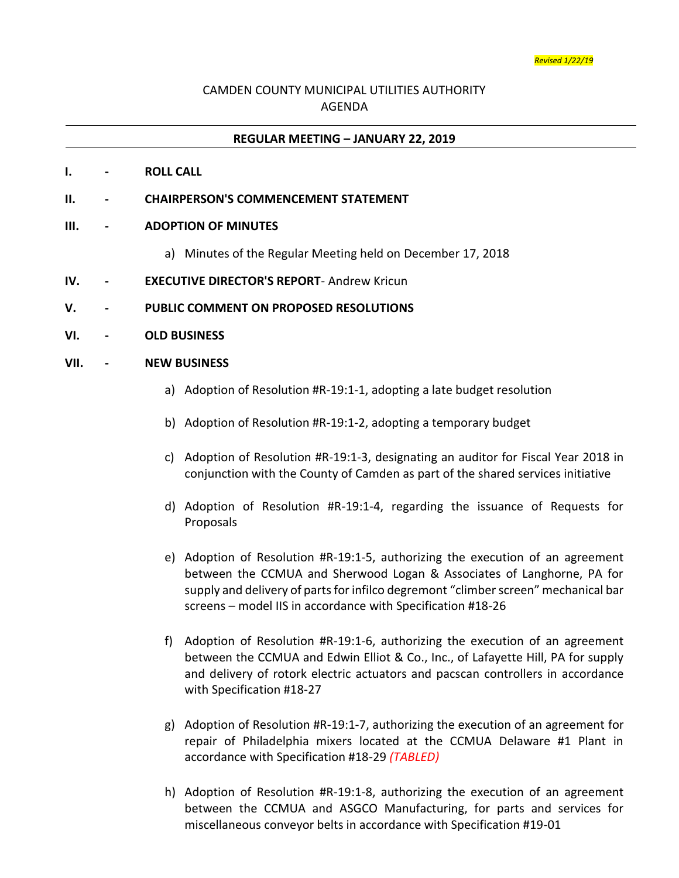## CAMDEN COUNTY MUNICIPAL UTILITIES AUTHORITY AGENDA

#### **REGULAR MEETING – JANUARY 22, 2019**

### **I. - ROLL CALL**

**II. - CHAIRPERSON'S COMMENCEMENT STATEMENT**

### **III. - ADOPTION OF MINUTES**

- a) Minutes of the Regular Meeting held on December 17, 2018
- **IV. - EXECUTIVE DIRECTOR'S REPORT** Andrew Kricun
- **V. - PUBLIC COMMENT ON PROPOSED RESOLUTIONS**
- **VI. - OLD BUSINESS**

### **VII. - NEW BUSINESS**

- a) Adoption of Resolution #R-19:1-1, adopting a late budget resolution
- b) Adoption of Resolution #R-19:1-2, adopting a temporary budget
- c) Adoption of Resolution #R-19:1-3, designating an auditor for Fiscal Year 2018 in conjunction with the County of Camden as part of the shared services initiative
- d) Adoption of Resolution #R-19:1-4, regarding the issuance of Requests for Proposals
- e) Adoption of Resolution #R-19:1-5, authorizing the execution of an agreement between the CCMUA and Sherwood Logan & Associates of Langhorne, PA for supply and delivery of parts for infilco degremont "climber screen" mechanical bar screens – model IIS in accordance with Specification #18-26
- f) Adoption of Resolution #R-19:1-6, authorizing the execution of an agreement between the CCMUA and Edwin Elliot & Co., Inc., of Lafayette Hill, PA for supply and delivery of rotork electric actuators and pacscan controllers in accordance with Specification #18-27
- g) Adoption of Resolution #R-19:1-7, authorizing the execution of an agreement for repair of Philadelphia mixers located at the CCMUA Delaware #1 Plant in accordance with Specification #18-29 *(TABLED)*
- h) Adoption of Resolution #R-19:1-8, authorizing the execution of an agreement between the CCMUA and ASGCO Manufacturing, for parts and services for miscellaneous conveyor belts in accordance with Specification #19-01